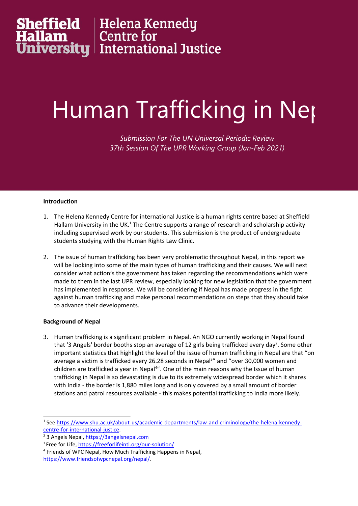# **Effield | Helena Kennedy<br>| <b>Ilam |** Centre for<br>| International Justice

### Human Trafficking in Nep

*Submission For The UN Universal Periodic Review 37th Session Of The UPR Working Group (Jan-Feb 2021)*

#### **Introduction**

- 1. The Helena Kennedy Centre for international Justice is <sup>a</sup> human rights centre based at Sheffield Hallam University in the UK. $^{\rm 1}$  The Centre supports a range of research and scholarship activity including supervised work by our students. This submission is the product of undergraduate students studying with the Human Rights Law Clinic.
- 2. The issue of human trafficking has been very problematic throughout Nepal, in this report we will be looking into some of the main types of human trafficking and their causes. We will next consider what action'<sup>s</sup> the government has taken regarding the recommendations which were made to them in the last UPR review, especially looking for new legislation that the government has implemented in response. We will be considering if Nepal has made progress in the fight against human trafficking and make personal recommendations on steps that they should take to advance their developments.

#### **Background of Nepal**

3. Human trafficking is <sup>a</sup> significant problem in Nepal. An NGO currently working in Nepal found that '3 Angels' border booths stop an average of 12 girls being trafficked every day<sup>2</sup>. Some other important statistics that highlight the level of the issue of human trafficking in Nepal are that "on average <sup>a</sup> victim is trafficked every 26.28 seconds in Nepal 3 " and "over 30,000 women and children are trafficked a year in Nepal<sup>4</sup>". One of the main reasons why the Issue of human trafficking in Nepal is so devastating is due to its extremely widespread border which it shares with India - the border is 1,880 miles long and is only covered by <sup>a</sup> small amount of border stations and patrol resources available - this makes potential trafficking to India more likely.

<sup>1</sup> See [https://www.shu.ac.uk/about-us/academic-departments/law-and-criminology/the-helena-kennedy](https://www.shu.ac.uk/about-us/academic-departments/law-and-criminology/the-helena-kennedy-centre-for-international-justice)[centre-for-international-justice](https://www.shu.ac.uk/about-us/academic-departments/law-and-criminology/the-helena-kennedy-centre-for-international-justice).

<sup>&</sup>lt;sup>2</sup> 3 Angels Nepal, <https://3angelsnepal.com>

<sup>&</sup>lt;sup>3</sup> Free for Life, <https://freeforlifeintl.org/our-solution/>

<sup>4</sup> Friends of WPC Nepal, How Much Trafficking Happens in Nepal,

<https://www.friendsofwpcnepal.org/nepal/>.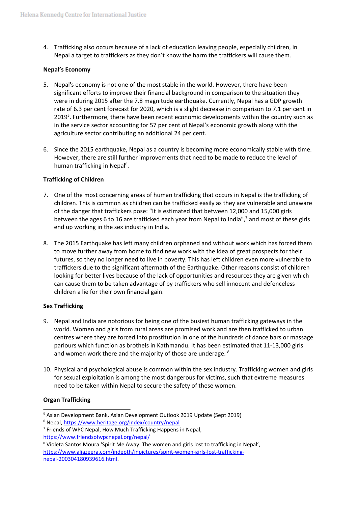4. Trafficking also occurs because of <sup>a</sup> lack of education leaving people, especially children, in Nepal <sup>a</sup> target to traffickers as they don'<sup>t</sup> know the harm the traffickers will cause them.

#### **Nepal'<sup>s</sup> Economy**

- 5. Nepal's economy is not one of the most stable in the world. However, there have been significant efforts to improve their financial background in comparison to the situation they were in during 2015 after the 7.8 magnitude earthquake. Currently, Nepal has <sup>a</sup> GDP growth rate of 6.3 per cent forecast for 2020, which is <sup>a</sup> slight decrease in comparison to 7.1 per cent in 2019<sup>5</sup>. Furthermore, there have been recent economic developments within the country such as in the service sector accounting for 57 per cent of Nepal'<sup>s</sup> economic growth along with the agriculture sector contributing an additional 24 per cent.
- 6. Since the 2015 earthquake, Nepal as <sup>a</sup> country is becoming more economically stable with time. However, there are still further improvements that need to be made to reduce the level of human trafficking in Nepal<sup>6</sup>.

#### **Trafficking of Children**

- 7. One of the most concerning areas of human trafficking that occurs in Nepal is the trafficking of children. This is common as children can be trafficked easily as they are vulnerable and unaware of the danger that traffickers pose: "It is estimated that between 12,000 and 15,000 girls between the ages 6 to 16 are trafficked each year from Nepal to India", 7 and most of these girls end up working in the sex industry in India.
- 8. The 2015 Earthquake has left many children orphaned and without work which has forced them to move further away from home to find new work with the idea of great prospects for their futures, so they no longer need to live in poverty. This has left children even more vulnerable to traffickers due to the significant aftermath of the Earthquake. Other reasons consist of children looking for better lives because of the lack of opportunities and resources they are given which can cause them to be taken advantage of by traffickers who sell innocent and defenceless children <sup>a</sup> lie for their own financial gain.

#### **Sex Trafficking**

- 9. Nepal and India are notorious for being one of the busiest human trafficking gateways in the world. Women and girls from rural areas are promised work and are then trafficked to urban centres where they are forced into prostitution in one of the hundreds of dance bars or massage parlours which function as brothels in Kathmandu. It has been estimated that 11-13,000 girls and women work there and the majority of those are underage.  $^{8}$
- 10. Physical and psychological abuse is common within the sex industry. Trafficking women and girls for sexual exploitation is among the most dangerous for victims, such that extreme measures need to be taken within Nepal to secure the safety of these women.

#### **Organ Trafficking**

5 Asian Development Bank, Asian Development Outlook 2019 Update (Sept 2019)

<sup>&</sup>lt;sup>6</sup> Nepal, <https://www.heritage.org/index/country/nepal>

<sup>&</sup>lt;sup>7</sup> Friends of WPC Nepal, How Much Trafficking Happens in Nepal, <https://www.friendsofwpcnepal.org/nepal/>

<sup>&</sup>lt;sup>8</sup> Violeta Santos Moura 'Spirit Me Away: The women and girls lost to trafficking in Nepal', [https://www.aljazeera.com/indepth/inpictures/spirit-women-girls-lost-trafficking](https://www.aljazeera.com/indepth/inpictures/spirit-women-girls-lost-trafficking-nepal-200304180939616.html)[nepal-200304180939616.html](https://www.aljazeera.com/indepth/inpictures/spirit-women-girls-lost-trafficking-nepal-200304180939616.html).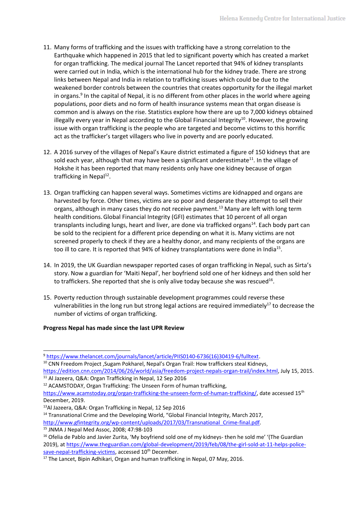- 11. Many forms of trafficking and the issues with trafficking have <sup>a</sup> strong correlation to the Earthquake which happened in 2015 that led to significant poverty which has created <sup>a</sup> market for organ trafficking. The medical journal The Lancet reported that 94% of kidney transplants were carried out in India, which is the international hub for the kidney trade. There are strong links between Nepal and India in relation to trafficking issues which could be due to the weakened border controls between the countries that creates opportunity for the illegal market in organs. 9 In the capital of Nepal, it is no different from other places in the world where ageing populations, poor diets and no form of health insurance systems mean that organ disease is common and is always on the rise. Statistics explore how there are up to 7,000 kidneys obtained illegally every year in Nepal according to the Global Financial Integrity $^{10}$ . However, the growing issue with organ trafficking is the people who are targeted and become victims to this horrific act as the trafficker'<sup>s</sup> target villagers who live in poverty and are poorly educated.
- 12. A 2016 survey of the villages of Nepal'<sup>s</sup> Kaure district estimated <sup>a</sup> figure of 150 kidneys that are sold each year, although that may have been a significant underestimate<sup>11</sup>. In the village of Hokshe it has been reported that many residents only have one kidney because of organ trafficking in Nepal<sup>12</sup>.
- 13. Organ trafficking can happen several ways. Sometimes victims are kidnapped and organs are harvested by force. Other times, victims are so poor and desperate they attempt to sell their organs, although in many cases they do not receive payment.<sup>13</sup> Many are left with long term health conditions.Global Financial Integrity (GFI) estimates that 10 percent of all organ transplants including lungs, heart and liver, are done via trafficked organs<sup>14</sup>. Each body part can be sold to the recipient for <sup>a</sup> different price depending on what it is. Many victims are not screened properly to check if they are <sup>a</sup> healthy donor, and many recipients of the organs are too ill to care. It is reported that 94% of kidney transplantations were done in India<sup>15</sup>.
- 14. In 2019, the UK Guardian newspaper reported cases of organ trafficking in Nepal, such as Sirta'<sup>s</sup> story. Now <sup>a</sup> guardian for 'Maiti Nepal', her boyfriend sold one of her kidneys and then sold her to traffickers. She reported that she is only alive today because she was rescued<sup>16</sup>.
- 15. Poverty reduction through sustainable development programmes could reverse these vulnerabilities in the long run but strong legal actions are required immediately<sup>17</sup> to decrease the number of victims of organ trafficking.

#### **Progress Nepal has made since the last UPR Review**

<sup>&</sup>lt;sup>9</sup> [https://www.thelancet.com/journals/lancet/article/PIIS0140-6736\(16\)30419-6/fulltext](https://www.thelancet.com/journals/lancet/article/PIIS0140-6736(16)30419-6/fulltext).

 $^{10}$  CNN Freedom Project ,Sugam Pokharel, Nepal's Organ Trail: How traffickers steal Kidneys, <https://edition.cnn.com/2014/06/26/world/asia/freedom-project-nepals-organ-trail/index.html>, July 15, 2015.

<sup>&</sup>lt;sup>11</sup> Al Jazeera, Q&A: Organ Trafficking in Nepal, 12 Sep 2016

<sup>&</sup>lt;sup>12</sup> ACAMSTODAY, Organ Trafficking: The Unseen Form of human trafficking, <https://www.acamstoday.org/organ-trafficking-the-unseen-form-of-human-trafficking/>, date accessed 15<sup>th</sup> December, 2019.

<sup>&</sup>lt;sup>13</sup>Al Jazeera, Q&A: Organ Trafficking in Nepal, 12 Sep 2016

<sup>&</sup>lt;sup>14</sup> Transnational Crime and the Developing World, "Global Financial Integrity, March 2017,

[http://www.gfintegrity.org/wp-content/uploads/2017/03/Transnational\\_Crime-final.pdf](http://www.gfintegrity.org/wp-content/uploads/2017/03/Transnational_Crime-final.pdf).

<sup>15</sup> JNMA J Nepal Med Assoc, 2008; 47:98-103

<sup>&</sup>lt;sup>16</sup> Ofelia de Pablo and Javier Zurita, 'My boyfriend sold one of my kidneys- then he sold me' '(The Guardiar 2019), at [https://www.theguardian.com/global-development/2019/feb/08/the-girl-sold-at-11-helps-police](https://www.theguardian.com/global-development/2019/feb/08/the-girl-sold-at-11-helps-police-save-nepal-trafficking-victims)[save-nepal-trafficking-victims,](https://www.theguardian.com/global-development/2019/feb/08/the-girl-sold-at-11-helps-police-save-nepal-trafficking-victims) accessed 10<sup>th</sup> December.

<sup>&</sup>lt;sup>17</sup> The Lancet, Bipin Adhikari, Organ and human trafficking in Nepal, 07 May, 2016.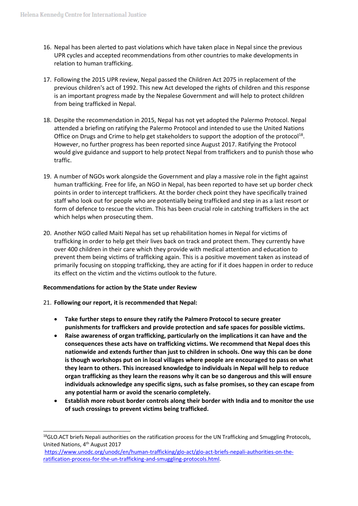- 16. Nepal has been alerted to past violations which have taken place in Nepal since the previous UPR cycles and accepted recommendations from other countries to make developments in relation to human trafficking.
- 17. Following the 2015 UPR review, Nepal passed the Children Act 2075 in replacement of the previous children's act of 1992. This new Act developed the rights of children and this response is an important progress made by the Nepalese Government and will help to protect children from being trafficked in Nepal.
- 18. Despite the recommendation in 2015, Nepal has not yet adopted the Palermo Protocol. Nepal attended <sup>a</sup> briefing on ratifying the Palermo Protocol and intended to use the United Nations Office on Drugs and Crime to help get stakeholders to support the adoption of the protocol<sup>18</sup>. However, no further progress has been reported since August 2017. Ratifying the Protocol would give guidance and support to help protect Nepal from traffickers and to punish those who traffic.
- 19. A number of NGOs work alongside the Government and play <sup>a</sup> massive role in the fight against human trafficking. Free for life, an NGO in Nepal, has been reported to have set up border check points in order to intercept traffickers. At the border check point they have specifically trained staff who look out for people who are potentially being trafficked and step in as <sup>a</sup> last resort or form of defence to rescue the victim. This has been crucial role in catching traffickers in the act which helps when prosecuting them.
- 20. Another NGO called Maiti Nepal has set up rehabilitation homes in Nepal for victims of trafficking in order to help get their lives back on track and protect them. They currently have over 400 children in their care which they provide with medical attention and education to prevent them being victims of trafficking again. This is <sup>a</sup> positive movement taken as instead of primarily focusing on stopping trafficking, they are acting for if it does happen in order to reduce its effect on the victim and the victims outlook to the future.

#### **Recommendations for action by the State under Review**

- 21. **Following our report, it is recommended that Nepal:**
	- **Take further steps to ensure they ratify the Palmero Protocol to secure greater punishments for traffickers and provide protection and safe spaces for possible victims.**
	- $\bullet$  **Raise awareness of organ trafficking, particularly on the implications it can have and the consequences these acts have on trafficking victims. We recommend that Nepal does this nationwide and extends further than just to children in schools. One way this can be done is though workshops put on in local villages where people are encouraged to pass on what they learn to others. This increased knowledge to individuals in Nepal will help to reduce organ trafficking as they learn the reasons why it can be so dangerous and this will ensure individuals acknowledge any specific signs, such as false promises, so they can escape from any potential harm or avoid the scenario completely.**
	- e **Establish more robust border controls along their border with India and to monitor the use of such crossings to prevent victims being trafficked.**

<sup>&</sup>lt;sup>18</sup>GLO.ACT briefs Nepali authorities on the ratification process for the UN Trafficking and Smuggling Protocols, United Nations, 4<sup>th</sup> August 2017

[https://www.unodc.org/unodc/en/human-trafficking/glo-act/glo-act-briefs-nepali-authorities-on-the](https://www.unodc.org/unodc/en/human-trafficking/glo-act/glo-act-briefs-nepali-authorities-on-the-ratification-process-for-the-un-trafficking-and-smuggling-protocols.html)[ratification-process-for-the-un-trafficking-and-smuggling-protocols.html](https://www.unodc.org/unodc/en/human-trafficking/glo-act/glo-act-briefs-nepali-authorities-on-the-ratification-process-for-the-un-trafficking-and-smuggling-protocols.html).